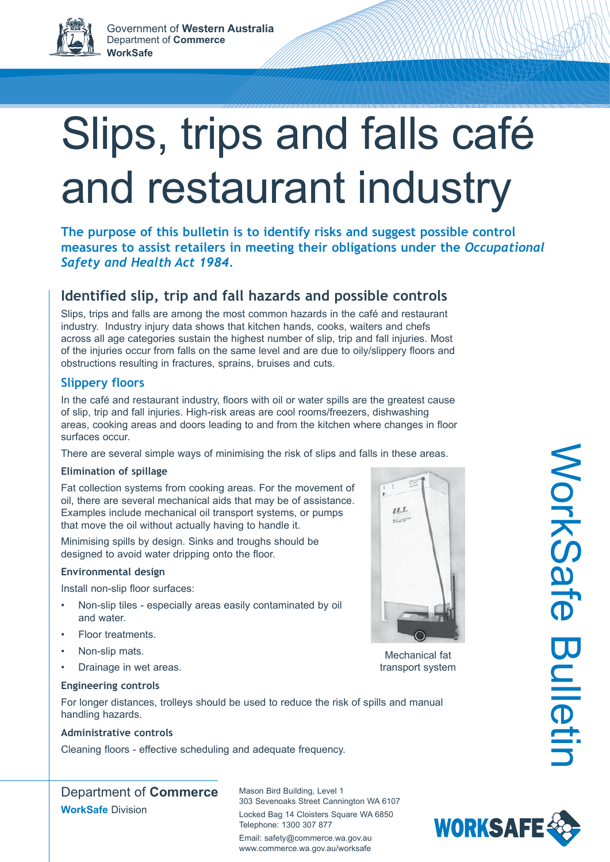# Slips, trips and falls café and restaurant industry

**The purpose of this bulletin is to identify risks and suggest possible control measures to assist retailers in meeting their obligations under the** *Occupational Safety and Health Act 1984.*

# **Identified slip, trip and fall hazards and possible controls**

Slips, trips and falls are among the most common hazards in the café and restaurant industry. Industry injury data shows that kitchen hands, cooks, waiters and chefs across all age categories sustain the highest number of slip, trip and fall injuries. Most of the injuries occur from falls on the same level and are due to oily/slippery floors and obstructions resulting in fractures, sprains, bruises and cuts.

# **Slippery floors**

In the café and restaurant industry, floors with oil or water spills are the greatest cause of slip, trip and fall injuries. High-risk areas are cool rooms/freezers, dishwashing areas, cooking areas and doors leading to and from the kitchen where changes in floor surfaces occur.

There are several simple ways of minimising the risk of slips and falls in these areas.

# **Elimination of spillage**

Fat collection systems from cooking areas. For the movement of oil, there are several mechanical aids that may be of assistance. Examples include mechanical oil transport systems, or pumps that move the oil without actually having to handle it.

Minimising spills by design. Sinks and troughs should be designed to avoid water dripping onto the floor.

## **Environmental design**

Install non-slip floor surfaces:

- Non-slip tiles especially areas easily contaminated by oil and water.
- Floor treatments.
- Non-slip mats.
- Drainage in wet areas.



Mechanical fat transport system

## **Engineering controls**

For longer distances, trolleys should be used to reduce the risk of spills and manual handling hazards.

# **Administrative controls**

Cleaning floors - effective scheduling and adequate frequency.

Department of **Commerce WorkSafe** Division

Mason Bird Building, Level 1 303 Sevenoaks Street Cannington WA 6107 Locked Bag 14 Cloisters Square WA 6850 Telephone: 1300 307 877 Email: safety@commerce.wa.gov.au www.commerce.wa.gov.au/worksafe



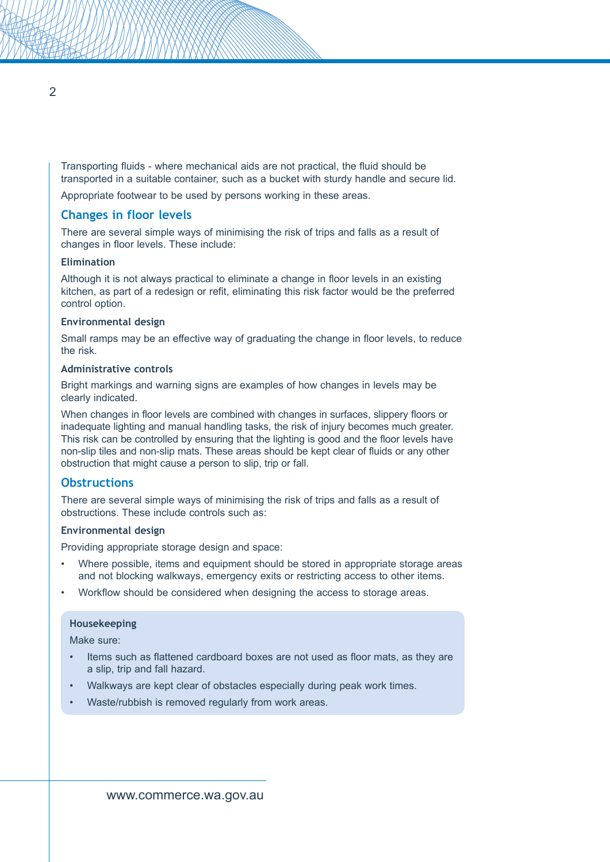Transporting fluids - where mechanical aids are not practical, the fluid should be transported in a suitable container, such as a bucket with sturdy handle and secure lid.

Appropriate footwear to be used by persons working in these areas.

## **Changes in floor levels**

There are several simple ways of minimising the risk of trips and falls as a result of changes in floor levels. These include:

### **Elimination**

Although it is not always practical to eliminate a change in floor levels in an existing kitchen, as part of a redesign or refit, eliminating this risk factor would be the preferred control option.

#### **Environmental design**

Small ramps may be an effective way of graduating the change in floor levels, to reduce the risk.

#### **Administrative controls**

Bright markings and warning signs are examples of how changes in levels may be clearly indicated.

When changes in floor levels are combined with changes in surfaces, slippery floors or inadequate lighting and manual handling tasks, the risk of injury becomes much greater. This risk can be controlled by ensuring that the lighting is good and the floor levels have non-slip tiles and non-slip mats. These areas should be kept clear of fluids or any other obstruction that might cause a person to slip, trip or fall.

## **Obstructions**

There are several simple ways of minimising the risk of trips and falls as a result of obstructions. These include controls such as:

#### **Environmental design**

Providing appropriate storage design and space:

- Where possible, items and equipment should be stored in appropriate storage areas and not blocking walkways, emergency exits or restricting access to other items.
- Workflow should be considered when designing the access to storage areas.

#### **Housekeeping**

Make sure:

- Items such as flattened cardboard boxes are not used as floor mats, as they are a slip, trip and fall hazard.
- Walkways are kept clear of obstacles especially during peak work times.
- Waste/rubbish is removed regularly from work areas.

 $\overline{\mathcal{L}}$